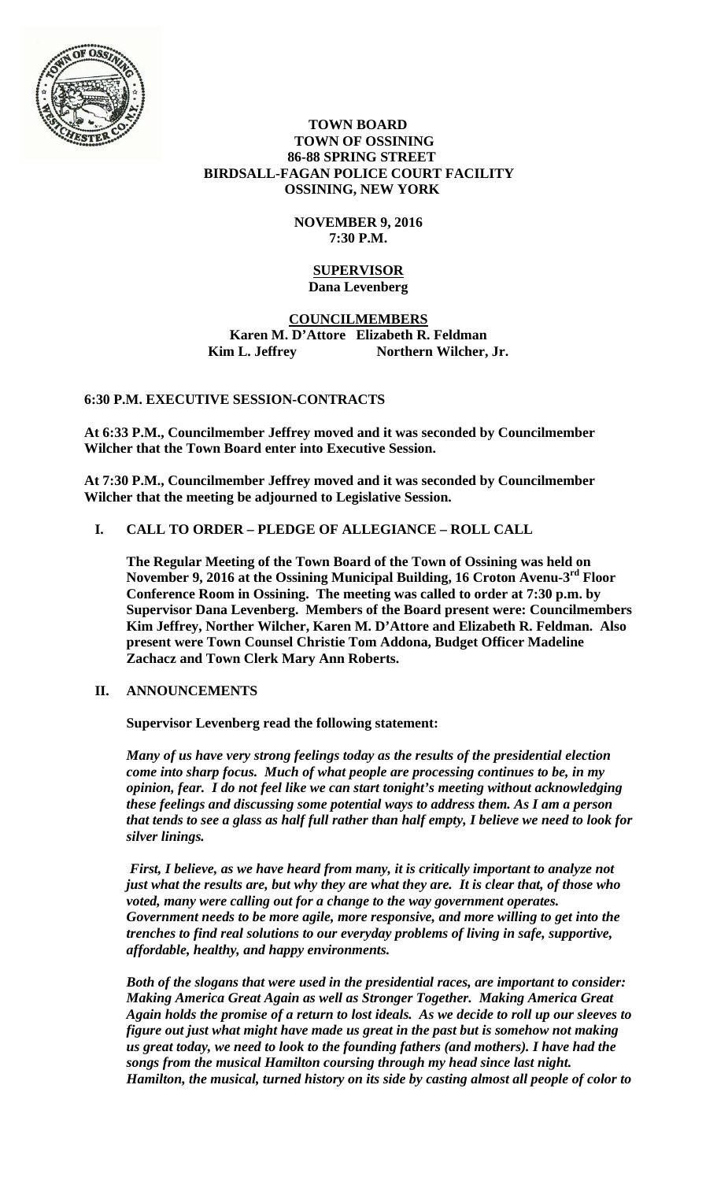

### **TOWN BOARD TOWN OF OSSINING 86-88 SPRING STREET BIRDSALL-FAGAN POLICE COURT FACILITY OSSINING, NEW YORK**

# **NOVEMBER 9, 2016 7:30 P.M.**

#### **SUPERVISOR Dana Levenberg**

## **COUNCILMEMBERS Karen M. D'Attore Elizabeth R. Feldman**  Kim L. Jeffrey Northern Wilcher, Jr.

# **6:30 P.M. EXECUTIVE SESSION-CONTRACTS**

**At 6:33 P.M., Councilmember Jeffrey moved and it was seconded by Councilmember Wilcher that the Town Board enter into Executive Session.** 

**At 7:30 P.M., Councilmember Jeffrey moved and it was seconded by Councilmember Wilcher that the meeting be adjourned to Legislative Session.** 

# **I. CALL TO ORDER – PLEDGE OF ALLEGIANCE – ROLL CALL**

**The Regular Meeting of the Town Board of the Town of Ossining was held on November 9, 2016 at the Ossining Municipal Building, 16 Croton Avenu-3rd Floor Conference Room in Ossining. The meeting was called to order at 7:30 p.m. by Supervisor Dana Levenberg. Members of the Board present were: Councilmembers Kim Jeffrey, Norther Wilcher, Karen M. D'Attore and Elizabeth R. Feldman. Also present were Town Counsel Christie Tom Addona, Budget Officer Madeline Zachacz and Town Clerk Mary Ann Roberts.** 

### **II. ANNOUNCEMENTS**

**Supervisor Levenberg read the following statement:** 

*Many of us have very strong feelings today as the results of the presidential election come into sharp focus. Much of what people are processing continues to be, in my opinion, fear. I do not feel like we can start tonight's meeting without acknowledging these feelings and discussing some potential ways to address them. As I am a person that tends to see a glass as half full rather than half empty, I believe we need to look for silver linings.* 

*First, I believe, as we have heard from many, it is critically important to analyze not just what the results are, but why they are what they are. It is clear that, of those who voted, many were calling out for a change to the way government operates. Government needs to be more agile, more responsive, and more willing to get into the trenches to find real solutions to our everyday problems of living in safe, supportive, affordable, healthy, and happy environments.* 

*Both of the slogans that were used in the presidential races, are important to consider: Making America Great Again as well as Stronger Together. Making America Great Again holds the promise of a return to lost ideals. As we decide to roll up our sleeves to figure out just what might have made us great in the past but is somehow not making us great today, we need to look to the founding fathers (and mothers). I have had the songs from the musical Hamilton coursing through my head since last night. Hamilton, the musical, turned history on its side by casting almost all people of color to*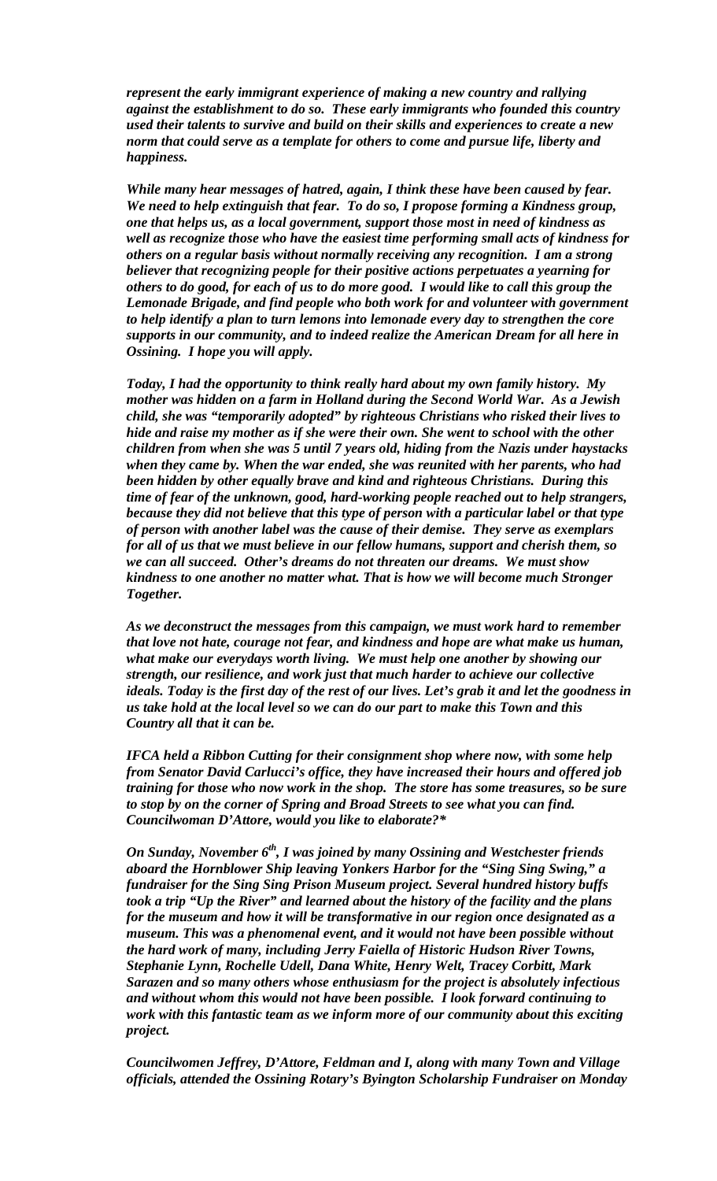*represent the early immigrant experience of making a new country and rallying against the establishment to do so. These early immigrants who founded this country used their talents to survive and build on their skills and experiences to create a new norm that could serve as a template for others to come and pursue life, liberty and happiness.* 

*While many hear messages of hatred, again, I think these have been caused by fear. We need to help extinguish that fear. To do so, I propose forming a Kindness group, one that helps us, as a local government, support those most in need of kindness as well as recognize those who have the easiest time performing small acts of kindness for others on a regular basis without normally receiving any recognition. I am a strong believer that recognizing people for their positive actions perpetuates a yearning for others to do good, for each of us to do more good. I would like to call this group the Lemonade Brigade, and find people who both work for and volunteer with government to help identify a plan to turn lemons into lemonade every day to strengthen the core supports in our community, and to indeed realize the American Dream for all here in Ossining. I hope you will apply.* 

*Today, I had the opportunity to think really hard about my own family history. My mother was hidden on a farm in Holland during the Second World War. As a Jewish child, she was "temporarily adopted" by righteous Christians who risked their lives to hide and raise my mother as if she were their own. She went to school with the other children from when she was 5 until 7 years old, hiding from the Nazis under haystacks when they came by. When the war ended, she was reunited with her parents, who had been hidden by other equally brave and kind and righteous Christians. During this time of fear of the unknown, good, hard-working people reached out to help strangers, because they did not believe that this type of person with a particular label or that type of person with another label was the cause of their demise. They serve as exemplars for all of us that we must believe in our fellow humans, support and cherish them, so we can all succeed. Other's dreams do not threaten our dreams. We must show kindness to one another no matter what. That is how we will become much Stronger Together.* 

*As we deconstruct the messages from this campaign, we must work hard to remember that love not hate, courage not fear, and kindness and hope are what make us human, what make our everydays worth living. We must help one another by showing our strength, our resilience, and work just that much harder to achieve our collective ideals. Today is the first day of the rest of our lives. Let's grab it and let the goodness in us take hold at the local level so we can do our part to make this Town and this Country all that it can be.* 

*IFCA held a Ribbon Cutting for their consignment shop where now, with some help from Senator David Carlucci's office, they have increased their hours and offered job training for those who now work in the shop. The store has some treasures, so be sure to stop by on the corner of Spring and Broad Streets to see what you can find. Councilwoman D'Attore, would you like to elaborate?\** 

*On Sunday, November 6<sup>th</sup>, I was joined by many Ossining and Westchester friends aboard the Hornblower Ship leaving Yonkers Harbor for the "Sing Sing Swing," a fundraiser for the Sing Sing Prison Museum project. Several hundred history buffs took a trip "Up the River" and learned about the history of the facility and the plans for the museum and how it will be transformative in our region once designated as a museum. This was a phenomenal event, and it would not have been possible without the hard work of many, including Jerry Faiella of Historic Hudson River Towns, Stephanie Lynn, Rochelle Udell, Dana White, Henry Welt, Tracey Corbitt, Mark Sarazen and so many others whose enthusiasm for the project is absolutely infectious and without whom this would not have been possible. I look forward continuing to work with this fantastic team as we inform more of our community about this exciting project.* 

*Councilwomen Jeffrey, D'Attore, Feldman and I, along with many Town and Village officials, attended the Ossining Rotary's Byington Scholarship Fundraiser on Monday*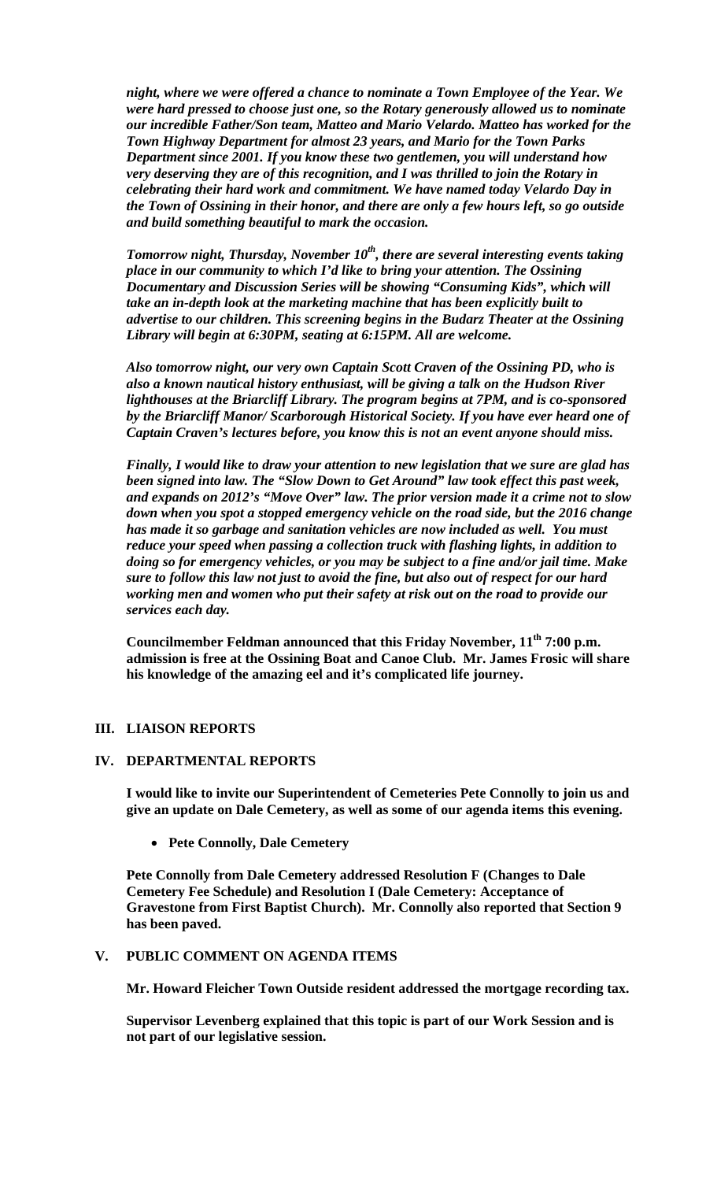*night, where we were offered a chance to nominate a Town Employee of the Year. We were hard pressed to choose just one, so the Rotary generously allowed us to nominate our incredible Father/Son team, Matteo and Mario Velardo. Matteo has worked for the Town Highway Department for almost 23 years, and Mario for the Town Parks Department since 2001. If you know these two gentlemen, you will understand how very deserving they are of this recognition, and I was thrilled to join the Rotary in celebrating their hard work and commitment. We have named today Velardo Day in the Town of Ossining in their honor, and there are only a few hours left, so go outside and build something beautiful to mark the occasion.* 

*Tomorrow night, Thursday, November 10th, there are several interesting events taking place in our community to which I'd like to bring your attention. The Ossining Documentary and Discussion Series will be showing "Consuming Kids", which will take an in-depth look at the marketing machine that has been explicitly built to advertise to our children. This screening begins in the Budarz Theater at the Ossining Library will begin at 6:30PM, seating at 6:15PM. All are welcome.* 

*Also tomorrow night, our very own Captain Scott Craven of the Ossining PD, who is also a known nautical history enthusiast, will be giving a talk on the Hudson River lighthouses at the Briarcliff Library. The program begins at 7PM, and is co-sponsored by the Briarcliff Manor/ Scarborough Historical Society. If you have ever heard one of Captain Craven's lectures before, you know this is not an event anyone should miss.* 

*Finally, I would like to draw your attention to new legislation that we sure are glad has been signed into law. The "Slow Down to Get Around" law took effect this past week, and expands on 2012's "Move Over" law. The prior version made it a crime not to slow down when you spot a stopped emergency vehicle on the road side, but the 2016 change has made it so garbage and sanitation vehicles are now included as well. You must reduce your speed when passing a collection truck with flashing lights, in addition to doing so for emergency vehicles, or you may be subject to a fine and/or jail time. Make sure to follow this law not just to avoid the fine, but also out of respect for our hard working men and women who put their safety at risk out on the road to provide our services each day.* 

**Councilmember Feldman announced that this Friday November, 11th 7:00 p.m. admission is free at the Ossining Boat and Canoe Club. Mr. James Frosic will share his knowledge of the amazing eel and it's complicated life journey.** 

### **III. LIAISON REPORTS**

#### **IV. DEPARTMENTAL REPORTS**

**I would like to invite our Superintendent of Cemeteries Pete Connolly to join us and give an update on Dale Cemetery, as well as some of our agenda items this evening.** 

**Pete Connolly, Dale Cemetery**

**Pete Connolly from Dale Cemetery addressed Resolution F (Changes to Dale Cemetery Fee Schedule) and Resolution I (Dale Cemetery: Acceptance of Gravestone from First Baptist Church). Mr. Connolly also reported that Section 9 has been paved.** 

#### **V. PUBLIC COMMENT ON AGENDA ITEMS**

**Mr. Howard Fleicher Town Outside resident addressed the mortgage recording tax.** 

**Supervisor Levenberg explained that this topic is part of our Work Session and is not part of our legislative session.**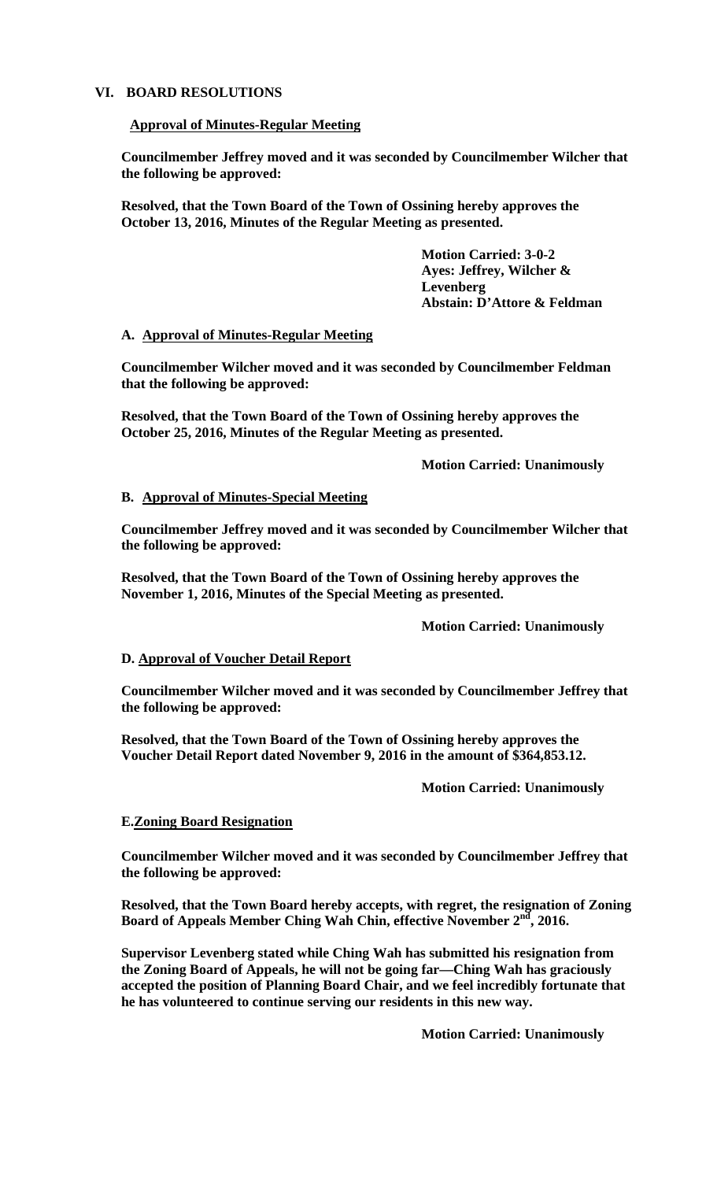### **VI. BOARD RESOLUTIONS**

#### **Approval of Minutes-Regular Meeting**

**Councilmember Jeffrey moved and it was seconded by Councilmember Wilcher that the following be approved:** 

**Resolved, that the Town Board of the Town of Ossining hereby approves the October 13, 2016, Minutes of the Regular Meeting as presented.** 

> **Motion Carried: 3-0-2 Ayes: Jeffrey, Wilcher & Levenberg Abstain: D'Attore & Feldman**

#### **A. Approval of Minutes-Regular Meeting**

**Councilmember Wilcher moved and it was seconded by Councilmember Feldman that the following be approved:** 

**Resolved, that the Town Board of the Town of Ossining hereby approves the October 25, 2016, Minutes of the Regular Meeting as presented.** 

 **Motion Carried: Unanimously** 

#### **B. Approval of Minutes-Special Meeting**

**Councilmember Jeffrey moved and it was seconded by Councilmember Wilcher that the following be approved:** 

**Resolved, that the Town Board of the Town of Ossining hereby approves the November 1, 2016, Minutes of the Special Meeting as presented.** 

 **Motion Carried: Unanimously** 

### **D. Approval of Voucher Detail Report**

**Councilmember Wilcher moved and it was seconded by Councilmember Jeffrey that the following be approved:** 

**Resolved, that the Town Board of the Town of Ossining hereby approves the Voucher Detail Report dated November 9, 2016 in the amount of \$364,853.12.** 

 **Motion Carried: Unanimously**

### **E.Zoning Board Resignation**

**Councilmember Wilcher moved and it was seconded by Councilmember Jeffrey that the following be approved:** 

**Resolved, that the Town Board hereby accepts, with regret, the resignation of Zoning**  Board of Appeals Member Ching Wah Chin, effective November 2<sup>nd</sup>, 2016.

**Supervisor Levenberg stated while Ching Wah has submitted his resignation from the Zoning Board of Appeals, he will not be going far—Ching Wah has graciously accepted the position of Planning Board Chair, and we feel incredibly fortunate that he has volunteered to continue serving our residents in this new way.** 

 **Motion Carried: Unanimously**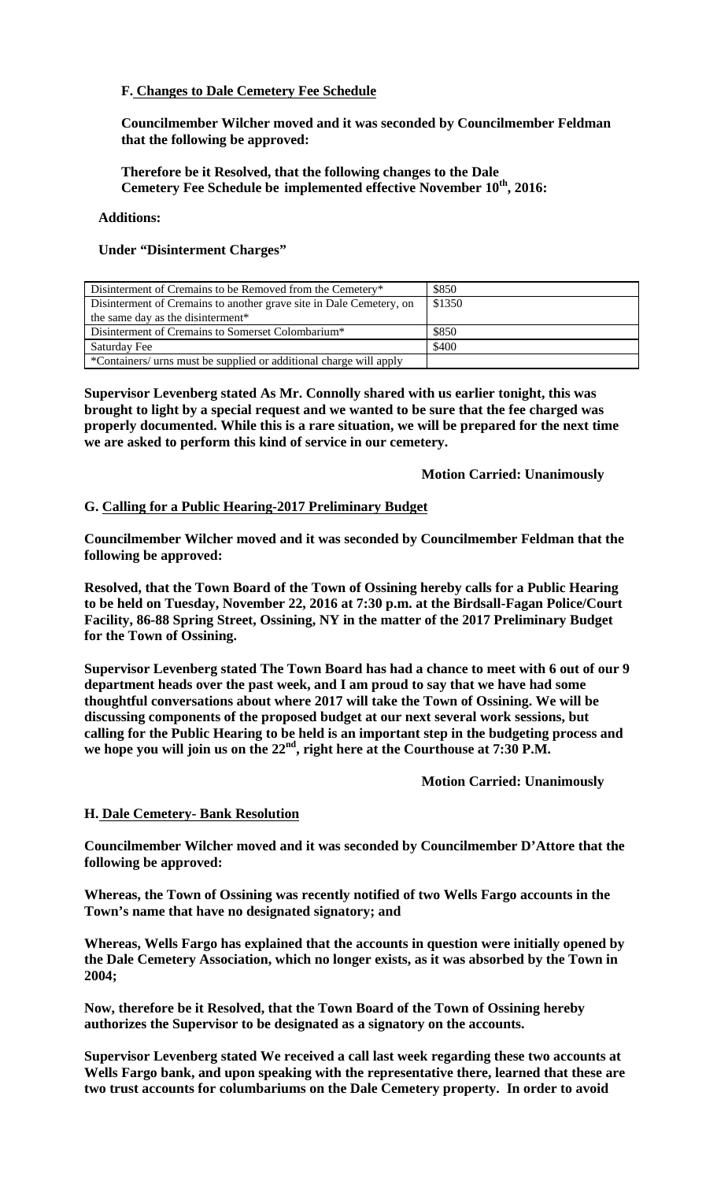# **F. Changes to Dale Cemetery Fee Schedule**

**Councilmember Wilcher moved and it was seconded by Councilmember Feldman that the following be approved:** 

### **Therefore be it Resolved, that the following changes to the Dale**  Cemetery Fee Schedule be implemented effective November  $10^{th}$ , 2016:

#### **Additions:**

### **Under "Disinterment Charges"**

| Disinterment of Cremains to be Removed from the Cemetery*           | \$850  |
|---------------------------------------------------------------------|--------|
| Disinterment of Cremains to another grave site in Dale Cemetery, on | \$1350 |
| the same day as the disinterment*                                   |        |
| Disinterment of Cremains to Somerset Colombarium <sup>*</sup>       | \$850  |
| Saturday Fee                                                        | \$400  |
| *Containers/ urns must be supplied or additional charge will apply  |        |

**Supervisor Levenberg stated As Mr. Connolly shared with us earlier tonight, this was brought to light by a special request and we wanted to be sure that the fee charged was properly documented. While this is a rare situation, we will be prepared for the next time we are asked to perform this kind of service in our cemetery.** 

 **Motion Carried: Unanimously** 

#### **G. Calling for a Public Hearing-2017 Preliminary Budget**

**Councilmember Wilcher moved and it was seconded by Councilmember Feldman that the following be approved:** 

**Resolved, that the Town Board of the Town of Ossining hereby calls for a Public Hearing to be held on Tuesday, November 22, 2016 at 7:30 p.m. at the Birdsall-Fagan Police/Court Facility, 86-88 Spring Street, Ossining, NY in the matter of the 2017 Preliminary Budget for the Town of Ossining.** 

**Supervisor Levenberg stated The Town Board has had a chance to meet with 6 out of our 9 department heads over the past week, and I am proud to say that we have had some thoughtful conversations about where 2017 will take the Town of Ossining. We will be discussing components of the proposed budget at our next several work sessions, but calling for the Public Hearing to be held is an important step in the budgeting process and**  we hope you will join us on the 22<sup>nd</sup>, right here at the Courthouse at 7:30 P.M.

 **Motion Carried: Unanimously** 

### **H. Dale Cemetery- Bank Resolution**

**Councilmember Wilcher moved and it was seconded by Councilmember D'Attore that the following be approved:** 

**Whereas, the Town of Ossining was recently notified of two Wells Fargo accounts in the Town's name that have no designated signatory; and** 

**Whereas, Wells Fargo has explained that the accounts in question were initially opened by the Dale Cemetery Association, which no longer exists, as it was absorbed by the Town in 2004;** 

**Now, therefore be it Resolved, that the Town Board of the Town of Ossining hereby authorizes the Supervisor to be designated as a signatory on the accounts.** 

**Supervisor Levenberg stated We received a call last week regarding these two accounts at Wells Fargo bank, and upon speaking with the representative there, learned that these are two trust accounts for columbariums on the Dale Cemetery property. In order to avoid**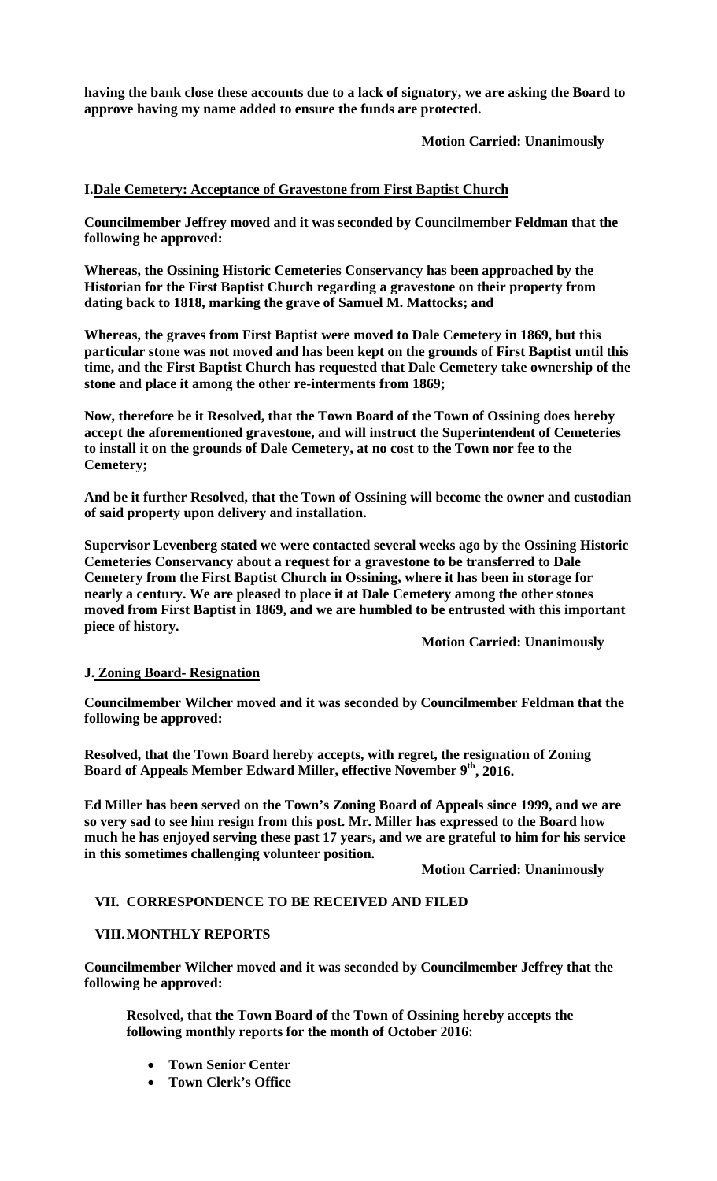**having the bank close these accounts due to a lack of signatory, we are asking the Board to approve having my name added to ensure the funds are protected.** 

 **Motion Carried: Unanimously** 

# **I.Dale Cemetery: Acceptance of Gravestone from First Baptist Church**

**Councilmember Jeffrey moved and it was seconded by Councilmember Feldman that the following be approved:** 

**Whereas, the Ossining Historic Cemeteries Conservancy has been approached by the Historian for the First Baptist Church regarding a gravestone on their property from dating back to 1818, marking the grave of Samuel M. Mattocks; and** 

**Whereas, the graves from First Baptist were moved to Dale Cemetery in 1869, but this particular stone was not moved and has been kept on the grounds of First Baptist until this time, and the First Baptist Church has requested that Dale Cemetery take ownership of the stone and place it among the other re-interments from 1869;** 

**Now, therefore be it Resolved, that the Town Board of the Town of Ossining does hereby accept the aforementioned gravestone, and will instruct the Superintendent of Cemeteries to install it on the grounds of Dale Cemetery, at no cost to the Town nor fee to the Cemetery;** 

**And be it further Resolved, that the Town of Ossining will become the owner and custodian of said property upon delivery and installation.** 

**Supervisor Levenberg stated we were contacted several weeks ago by the Ossining Historic Cemeteries Conservancy about a request for a gravestone to be transferred to Dale Cemetery from the First Baptist Church in Ossining, where it has been in storage for nearly a century. We are pleased to place it at Dale Cemetery among the other stones moved from First Baptist in 1869, and we are humbled to be entrusted with this important piece of history.** 

 **Motion Carried: Unanimously** 

# **J. Zoning Board- Resignation**

**Councilmember Wilcher moved and it was seconded by Councilmember Feldman that the following be approved:** 

**Resolved, that the Town Board hereby accepts, with regret, the resignation of Zoning**  Board of Appeals Member Edward Miller, effective November 9<sup>th</sup>, 2016.

**Ed Miller has been served on the Town's Zoning Board of Appeals since 1999, and we are so very sad to see him resign from this post. Mr. Miller has expressed to the Board how much he has enjoyed serving these past 17 years, and we are grateful to him for his service in this sometimes challenging volunteer position.** 

 **Motion Carried: Unanimously** 

### **VII. CORRESPONDENCE TO BE RECEIVED AND FILED**

### **VIII.MONTHLY REPORTS**

**Councilmember Wilcher moved and it was seconded by Councilmember Jeffrey that the following be approved:** 

**Resolved, that the Town Board of the Town of Ossining hereby accepts the following monthly reports for the month of October 2016:** 

- **Town Senior Center**
- **Town Clerk's Office**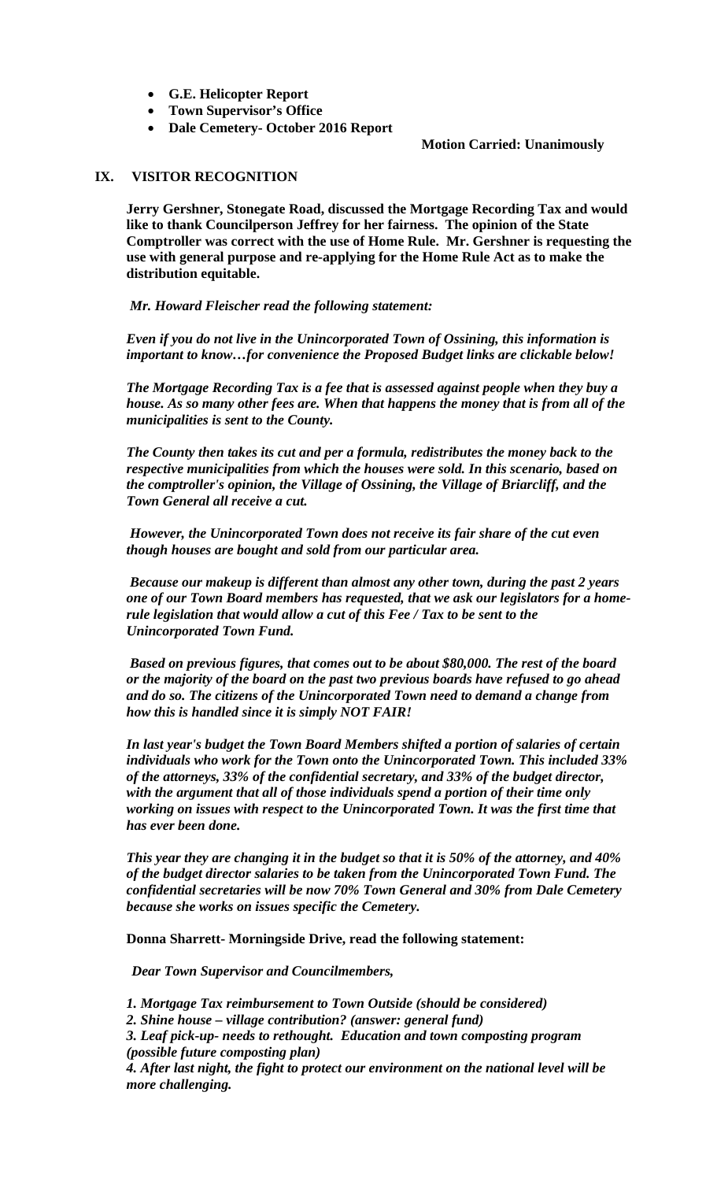- **G.E. Helicopter Report**
- **Town Supervisor's Office**
- **Dale Cemetery- October 2016 Report**

**Motion Carried: Unanimously** 

# **IX. VISITOR RECOGNITION**

**Jerry Gershner, Stonegate Road, discussed the Mortgage Recording Tax and would like to thank Councilperson Jeffrey for her fairness. The opinion of the State Comptroller was correct with the use of Home Rule. Mr. Gershner is requesting the use with general purpose and re-applying for the Home Rule Act as to make the distribution equitable.** 

 *Mr. Howard Fleischer read the following statement:* 

*Even if you do not live in the Unincorporated Town of Ossining, this information is important to know…for convenience the Proposed Budget links are clickable below!* 

*The Mortgage Recording Tax is a fee that is assessed against people when they buy a house. As so many other fees are. When that happens the money that is from all of the municipalities is sent to the County.* 

*The County then takes its cut and per a formula, redistributes the money back to the respective municipalities from which the houses were sold. In this scenario, based on the comptroller's opinion, the Village of Ossining, the Village of Briarcliff, and the Town General all receive a cut.* 

*However, the Unincorporated Town does not receive its fair share of the cut even though houses are bought and sold from our particular area.* 

*Because our makeup is different than almost any other town, during the past 2 years one of our Town Board members has requested, that we ask our legislators for a homerule legislation that would allow a cut of this Fee / Tax to be sent to the Unincorporated Town Fund.* 

*Based on previous figures, that comes out to be about \$80,000. The rest of the board or the majority of the board on the past two previous boards have refused to go ahead and do so. The citizens of the Unincorporated Town need to demand a change from how this is handled since it is simply NOT FAIR!* 

*In last year's budget the Town Board Members shifted a portion of salaries of certain individuals who work for the Town onto the Unincorporated Town. This included 33% of the attorneys, 33% of the confidential secretary, and 33% of the budget director, with the argument that all of those individuals spend a portion of their time only working on issues with respect to the Unincorporated Town. It was the first time that has ever been done.* 

*This year they are changing it in the budget so that it is 50% of the attorney, and 40% of the budget director salaries to be taken from the Unincorporated Town Fund. The confidential secretaries will be now 70% Town General and 30% from Dale Cemetery because she works on issues specific the Cemetery.* 

**Donna Sharrett- Morningside Drive, read the following statement:** 

 *Dear Town Supervisor and Councilmembers,*

*1. Mortgage Tax reimbursement to Town Outside (should be considered)* 

*2. Shine house – village contribution? (answer: general fund)* 

*3. Leaf pick-up- needs to rethought. Education and town composting program (possible future composting plan)* 

*4. After last night, the fight to protect our environment on the national level will be more challenging.*